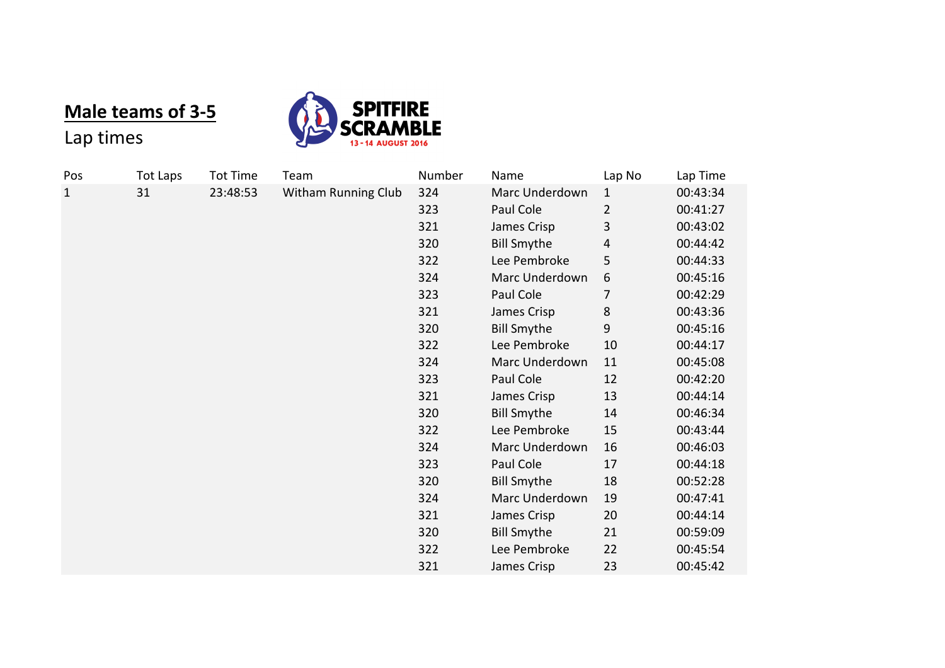## **Male teams of 3-5**



## Lap times

| Pos          | <b>Tot Laps</b> | <b>Tot Time</b> | Team                       | Number | Name               | Lap No         | Lap Time |
|--------------|-----------------|-----------------|----------------------------|--------|--------------------|----------------|----------|
| $\mathbf{1}$ | 31              | 23:48:53        | <b>Witham Running Club</b> | 324    | Marc Underdown     | $\mathbf{1}$   | 00:43:34 |
|              |                 |                 |                            | 323    | Paul Cole          | $\overline{2}$ | 00:41:27 |
|              |                 |                 |                            | 321    | James Crisp        | 3              | 00:43:02 |
|              |                 |                 |                            | 320    | <b>Bill Smythe</b> | 4              | 00:44:42 |
|              |                 |                 |                            | 322    | Lee Pembroke       | 5              | 00:44:33 |
|              |                 |                 |                            | 324    | Marc Underdown     | 6              | 00:45:16 |
|              |                 |                 |                            | 323    | Paul Cole          | 7              | 00:42:29 |
|              |                 |                 |                            | 321    | James Crisp        | 8              | 00:43:36 |
|              |                 |                 |                            | 320    | <b>Bill Smythe</b> | 9              | 00:45:16 |
|              |                 |                 |                            | 322    | Lee Pembroke       | 10             | 00:44:17 |
|              |                 |                 |                            | 324    | Marc Underdown     | 11             | 00:45:08 |
|              |                 |                 |                            | 323    | Paul Cole          | 12             | 00:42:20 |
|              |                 |                 |                            | 321    | James Crisp        | 13             | 00:44:14 |
|              |                 |                 |                            | 320    | <b>Bill Smythe</b> | 14             | 00:46:34 |
|              |                 |                 |                            | 322    | Lee Pembroke       | 15             | 00:43:44 |
|              |                 |                 |                            | 324    | Marc Underdown     | 16             | 00:46:03 |
|              |                 |                 |                            | 323    | Paul Cole          | 17             | 00:44:18 |
|              |                 |                 |                            | 320    | <b>Bill Smythe</b> | 18             | 00:52:28 |
|              |                 |                 |                            | 324    | Marc Underdown     | 19             | 00:47:41 |
|              |                 |                 |                            | 321    | James Crisp        | 20             | 00:44:14 |
|              |                 |                 |                            | 320    | <b>Bill Smythe</b> | 21             | 00:59:09 |
|              |                 |                 |                            | 322    | Lee Pembroke       | 22             | 00:45:54 |
|              |                 |                 |                            | 321    | James Crisp        | 23             | 00:45:42 |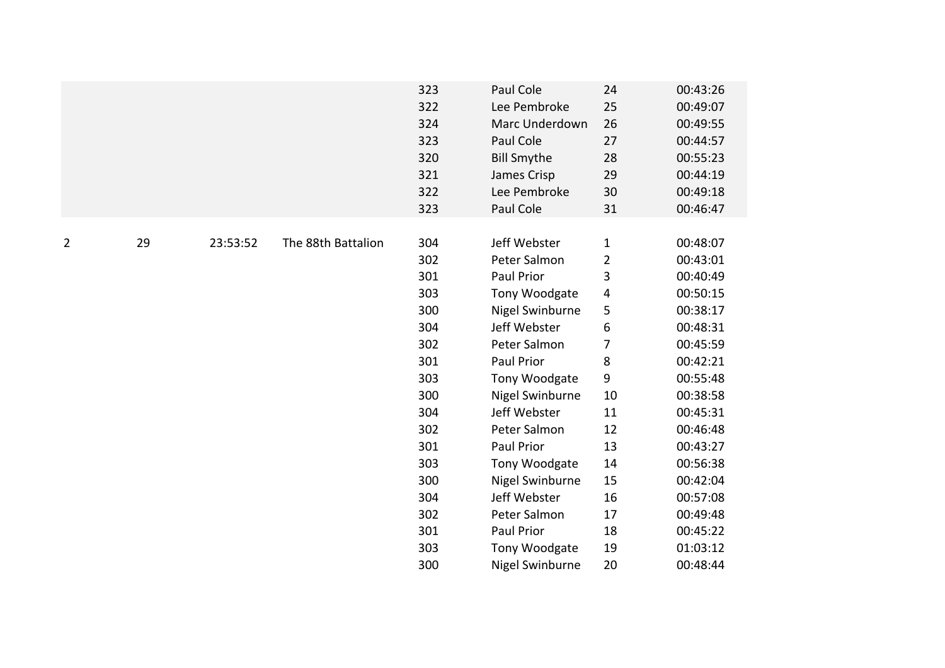|    |          |                    | 323                                           | Paul Cole                                                                                                          | 24                                     | 00:43:26                                                                         |
|----|----------|--------------------|-----------------------------------------------|--------------------------------------------------------------------------------------------------------------------|----------------------------------------|----------------------------------------------------------------------------------|
|    |          |                    | 322<br>324<br>323<br>320<br>321<br>322<br>323 | Lee Pembroke<br>Marc Underdown<br>Paul Cole<br><b>Bill Smythe</b><br>James Crisp<br>Lee Pembroke<br>Paul Cole      | 25<br>26<br>27<br>28<br>29<br>30<br>31 | 00:49:07<br>00:49:55<br>00:44:57<br>00:55:23<br>00:44:19<br>00:49:18<br>00:46:47 |
| 29 | 23:53:52 | The 88th Battalion | 304<br>302<br>301<br>303<br>300<br>304        | Jeff Webster<br>Peter Salmon<br>Paul Prior<br>Tony Woodgate<br>Nigel Swinburne<br>Jeff Webster                     | $\mathbf{1}$<br>2<br>3<br>4<br>5<br>6  | 00:48:07<br>00:43:01<br>00:40:49<br>00:50:15<br>00:38:17<br>00:48:31<br>00:45:59 |
|    |          |                    | 301<br>303<br>300<br>304<br>302               | Paul Prior<br>Tony Woodgate<br>Nigel Swinburne<br>Jeff Webster<br>Peter Salmon                                     | $\bf 8$<br>9<br>10<br>11<br>12         | 00:42:21<br>00:55:48<br>00:38:58<br>00:45:31<br>00:46:48<br>00:43:27             |
|    |          |                    | 303<br>300<br>304<br>302<br>301<br>303<br>300 | Tony Woodgate<br>Nigel Swinburne<br>Jeff Webster<br>Peter Salmon<br>Paul Prior<br>Tony Woodgate<br>Nigel Swinburne | 14<br>15<br>16<br>17<br>18<br>19<br>20 | 00:56:38<br>00:42:04<br>00:57:08<br>00:49:48<br>00:45:22<br>01:03:12<br>00:48:44 |
|    |          |                    |                                               | 302<br>301                                                                                                         | Peter Salmon<br>Paul Prior             | 7<br>13                                                                          |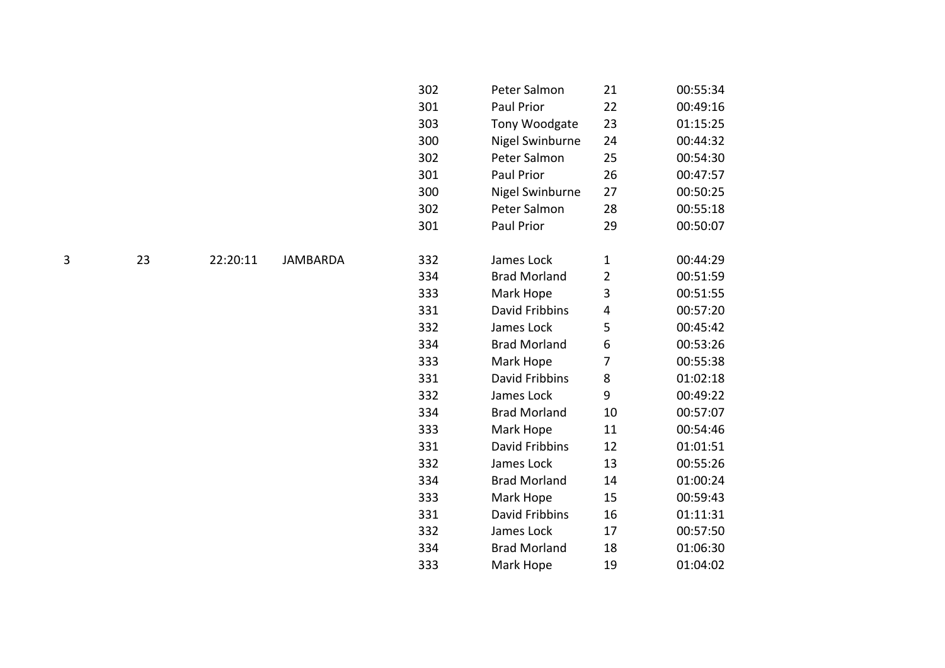| 302 | Peter Salmon          | 21             | 00:55:34 |
|-----|-----------------------|----------------|----------|
| 301 | Paul Prior            | 22             | 00:49:16 |
| 303 | Tony Woodgate         | 23             | 01:15:25 |
| 300 | Nigel Swinburne       | 24             | 00:44:32 |
| 302 | Peter Salmon          | 25             | 00:54:30 |
| 301 | Paul Prior            | 26             | 00:47:57 |
| 300 | Nigel Swinburne       | 27             | 00:50:25 |
| 302 | Peter Salmon          | 28             | 00:55:18 |
| 301 | <b>Paul Prior</b>     | 29             | 00:50:07 |
|     |                       |                |          |
| 332 | James Lock            | $\mathbf 1$    | 00:44:29 |
| 334 | <b>Brad Morland</b>   | $\overline{2}$ | 00:51:59 |
| 333 | Mark Hope             | 3              | 00:51:55 |
| 331 | David Fribbins        | 4              | 00:57:20 |
| 332 | James Lock            | 5              | 00:45:42 |
| 334 | <b>Brad Morland</b>   | 6              | 00:53:26 |
| 333 | Mark Hope             | 7              | 00:55:38 |
| 331 | <b>David Fribbins</b> | 8              | 01:02:18 |
| 332 | James Lock            | 9              | 00:49:22 |
| 334 | <b>Brad Morland</b>   | 10             | 00:57:07 |
| 333 | Mark Hope             | 11             | 00:54:46 |
| 331 | David Fribbins        | 12             | 01:01:51 |
| 332 | James Lock            | 13             | 00:55:26 |
| 334 | <b>Brad Morland</b>   | 14             | 01:00:24 |
| 333 | Mark Hope             | 15             | 00:59:43 |
| 331 | David Fribbins        | 16             | 01:11:31 |
| 332 | James Lock            | 17             | 00:57:50 |
| 334 | <b>Brad Morland</b>   | 18             | 01:06:30 |
| 333 | Mark Hope             | 19             | 01:04:02 |

3 23 22:20:11 JAMBARDA